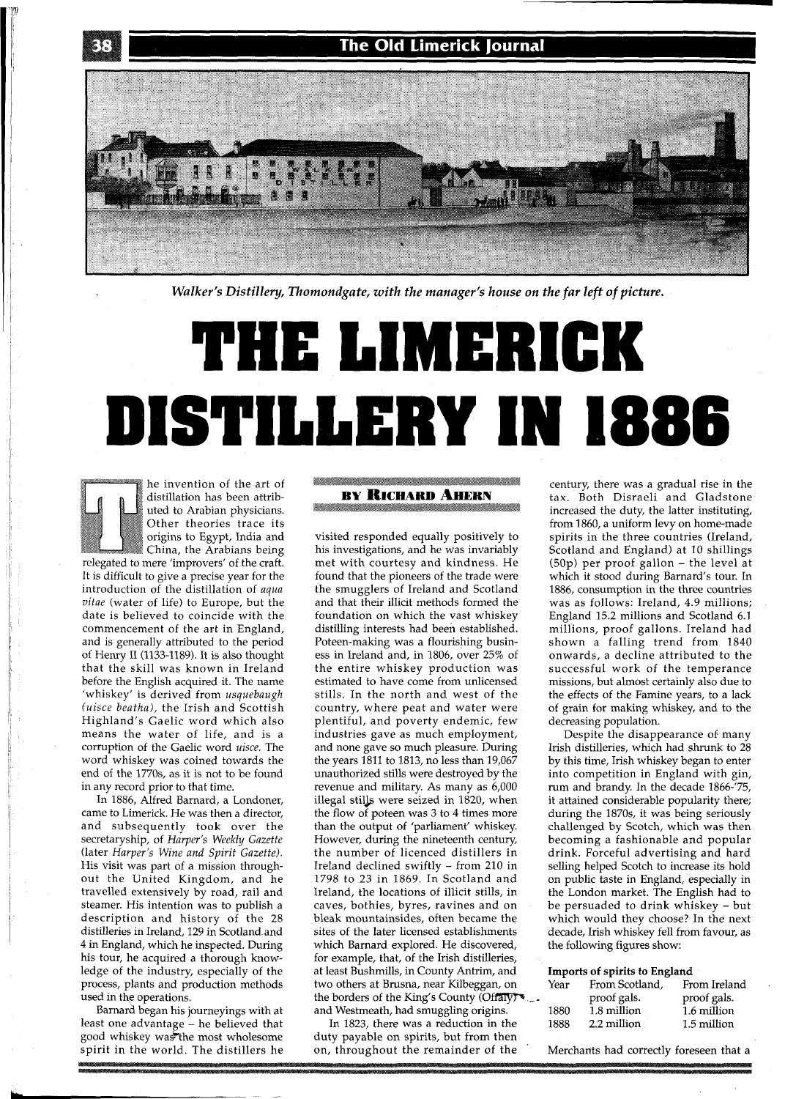The Old Limerick Journal



*Walker's Distille y, Thomondgate, with the manager's house on the far left of picture.* 

# THE LIMERICK **DISTILLERY IN 1886**

he invention of the art of distillation has been attributed to Arabian physicians. Other theories trace its origins to Egypt, India and China, the Arabians being relegated to mere 'improvers' of the craft. It is difficult to give a precise year for the introduction of the distillation of *aqua vitae* (water of life) to Europe, but the date is believed to coincide with the commencement of the art in England, and is generally attributed to the period of Henry I1 (1133-1189). It is also thought that the skill was known in Ireland before the English acquired it. The name 'whiskey' is derived from *usquebaugh (uisce beatha),* the Irish and Scottish Highland's Gaelic word which also means the water of life, and is a corruption of the Gaelic word *uisce.* The word whiskey was coined towards the end of the 1770s, as it is not to be found in any record prior to that time.

In 1886, Alfred Barnard, a Londoner, came to Limerick. He was then a director, and subsequently took over the secretaryship, of *Harper's Weekly Gazette* (later *Harper's Wine and Spirit Gazette)*. His visit was part of a mission throughout the United Kingdom, and he travelled extensively by road, rail and steamer. His intention was to publish a description and history of the 28 distilleries in Ireland, 129 in Scotland and 4 in England, which he inspected. During his tour, he acquired a thorough knowledge of the industry, especially of the process, plants and production methods used in the operations.

Barnard began his journeyings with at least one advantage - he believed that good whiskey was the most wholesome spirit in the world. The distillers he

## **BY RICHARD AHERN**

visited responded equally positively to his investigations, and he was invariably met with courtesy and kindness. He found that the pioneers of the trade were the smugglers of Ireland and Scotland and that their illicit methods formed the foundation on which the vast whiskey distilling interests had been established. Poteen-making was a flourishing business in Ireland and, in 1806, over 25% of the entire whiskey production was estimated to have come from unlicensed stills. In the north and west of the country, where peat and water were plentiful, and poverty endemic, few industries gave as much employment, and none gave so much pleasure. During the years 1811 to 1813, no less than 19,067 unauthorized stills were destroyed by the revenue and military. As many as 6,000 illegal stills were seized in 1820, when the flow of poteen was **3** to 4 times more than the output of 'parliament' whiskey. However, during the nineteenth century, the number of licenced distillers in Ireland declined swiftly - from 210 in 1798 to 23 in 1869. In Scotland and Ireland, the locations of illicit stills, in caves, bothies, byres, ravines and on bleak mountainsides, often became the sites of the later licensed establishments which Barnard explored. He discovered, for example, that, of the Irish distilleries, at least Bushmills, in County Antrim, and two others at Brusna, near Kilbeggan, on the borders of the King's County (Offaly)  $\bullet$ .<br>and Westmeath, had smuggling origins.

In 1823, there was a reduction in the duty payable on spirits, but from then on, throughout the remainder of the

century, there was a gradual rise in the tax. Both Disraeli and Gladstone increased the duty, the latter instituting, from 1860, a uniform levy on home-made spirits in the three countries (Ireland, Scotland and England) at 10 shillings (50p) per proof gallon - the level at which it stood during Barnard's tour. In 1886, consumption in the three countries was as follows: Ireland, 4.9 millions; England 15.2 millions and Scotland 6.1 millions, proof gallons. Ireland had shown a falling trend from 1840 onwards, a decline attributed to the successful work of the temperance missions, but almost certainly also due to the effects of the Famine years, to a lack of grain for making whiskey, and to the decreasing population.

Despite the disappearance of many Irish distilleries, which had shrunk to 28 by this time, Irish whiskey began to enter into competition in England with gin, rum and brandy. In the decade 1866-'75, it attained considerable popularity there; during the 1870s, it was being seriously challenged by Scotch, which was then becoming a fashionable and popular drink. Forceful advertising and hard selling helped Scotch to increase its hold on public taste in England, especially in the London market. The English had to be persuaded to drink whiskey - but which would they choose? In the next decade, Irish whiskey fell from favour, as the following figures show:

#### **Imports of spirits to England**

| From Scotland, | From Ireland |  |
|----------------|--------------|--|
| proof gals.    | proof gals.  |  |
| 1.8 million    | 1.6 million  |  |
| 2.2 million    | 1.5 million  |  |
|                |              |  |

Merchants had correctly foreseen that a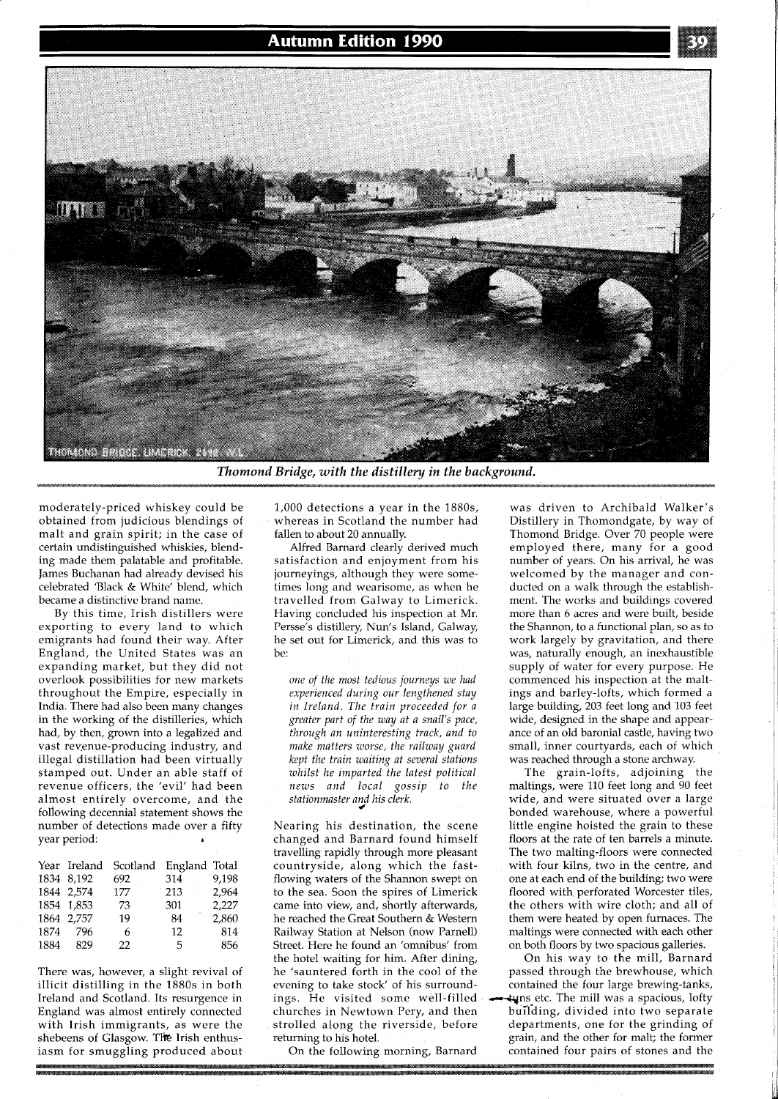

**Thomond Bridge, with the distillery in the background.** 

moderately-priced whiskey could be obtained from judicious blendings of malt and grain spirit; in the case of certain undistinguished whiskies, blending made them palatable and profitable. James Buchanan had already devised his celebrated 'Black & White' blend, which became a distinctive brand name.

By this time, Irish distillers were exporting to every land to which emigrants had found their way. After England, the United States was an expanding market, but they did not overlook possibilities for new markets throughout the Empire, especially in India. There had also been many changes in the working of the distilleries, which had, by then, grown into a legalized and vast revenue-producing industry, and illegal distillation had been virtually stamped out. Under an able staff of revenue officers, the 'evil' had been almost entirely overcome, and the following decennial statement shows the number of detections made over a fifty year period: **<sup>a</sup>**

|       | Year Ireland |     | Scotland England Total |       |
|-------|--------------|-----|------------------------|-------|
|       | 1834 8.192   | 692 | 314                    | 9,198 |
|       | 1844 2,574   | 177 | 213                    | 2.964 |
|       | 1854 1,853   | 73  | 301                    | 2,227 |
|       | 1864 2,757   | 19  | 84                     | 2,860 |
| 1874  | - 796        | 6.  | 12                     | 814   |
| 1884. | 829          | 22. | -5                     | -856  |

There was, however, a slight revival of illicit distilling in the 1880s in both Ireland and Scotland. Its resurgence in England was almost entirely connected with Irish immigrants, as were the shebeens of Glasgow. The Irish enthusiasm for smuggling produced about 1,000 detections a year in the 1880s, whereas in Scotland the number had fallen to about 20 annually.

Alfred Barnard clearly derived much satisfaction and enjoyment from his journeyings, although they were sometimes long and wearisome, as when he travelled from Galway to Limerick. Having concluded his inspection at Mr. Persse's distillery, Nun's Island, Galway, he set out for Limerick, and this was to be:

*one of the most tedious journeys we had experienced during our lengthened stay in Ireland. The train proceeded for a greater part of the way at a snail's pace, through an uninteresting track, and to make matters worse, the railway guard kept the train waiting at several stations whilst he imparted the latest political news and local gossip to the stationmaster and his clerk.*  **4** 

Nearing his destination, the scene changed and Barnard found himself travelling rapidly through more pleasant countryside, along which the fastflowing waters of the Shannon swept on to the sea. Soon the spires of Limerick came into view, and, shortly afterwards, he reached the Great Southern & Western Railway Station at Nelson (now Parnell) Street. Here he found an 'omnibus' from the hotel waiting for him. After dining, he 'sauntered forth in the cool of the evening to take stock' of his surroundings. He visited some well-filled churches in Newtown Pery, and then strolled along the riverside, before returning to his hotel.

On the following morning, Barnard

was driven to Archibald Walker's Distillery in Thomondgate, by way of Thomond Bridge. Over 70 people were employed there, many for-a good number of years. On his arrival, he was welcomed by the manager and conducted on a walk through the establishment. The works and buildings covered more than 6 acres and were built, beside the Shannon, to a functional plan, so as to work largely by gravitation, and there was, naturally enough, an inexhaustible supply of water for every purpose. He commenced his inspection at the maltings and barley-lofts, which formed a large building, 203 feet long and 103 feet wide, designed in the shape and appearance of an old baronial castle, having two small, inner courtyards, each of which was reached through a stone archway.

The grain-lofts, adjoining the maltings, were 110 feet long and 90 feet wide, and were situated over a large bonded warehouse, where a powerful little engine hoisted the grain to these floors at the rate of ten barrels a minute. The two malting-floors were connected with four kilns, two in the centre, and one at each end of the building; two were floored with perforated Worcester tiles, the others with wire cloth; and all of them were heated by open furnaces. The maltings were connected with each other on both floors by two spacious galleries.

On his way to the mill, Barnard passed through the brewhouse, which contained the four large brewing-tanks, tuns etc. The mill was a spacious, lofty bufiding, divided into two separate departments, one for the grinding of grain, and the other for malt; the former contained four pairs of stones and the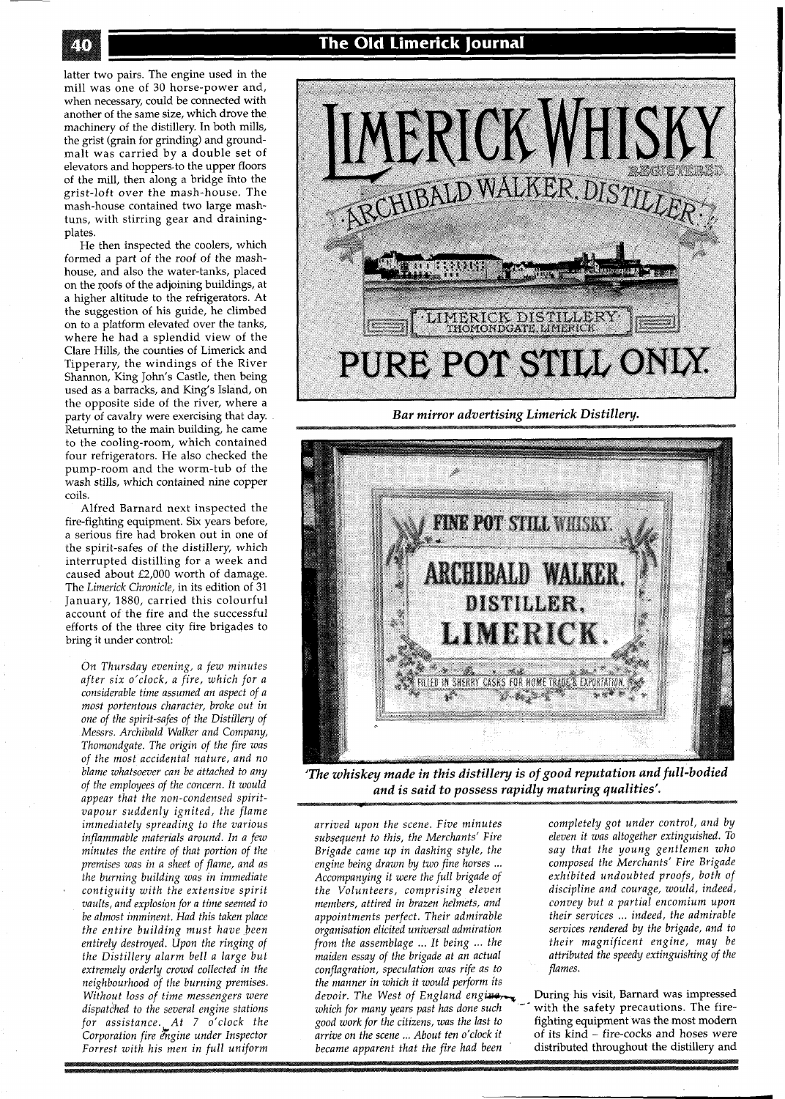latter two pairs. The engine used in the mill was one of 30 horse-power and, when necessary, could be connected with another of the same size, which drove the machinery of the distillery. In both mills, the grist (grain for grinding) and groundmalt was carried by a double set of elevators and hoppers.to the upper floors of the mill, then along a bridge into the grist-loft over the mash-house. The mash-house contained two large mashtuns, with stirring gear and drainingplates.

He then inspected the coolers, which formed a part of the roof of the mashhouse, and also the water-tanks, placed on the roofs of the adjoining buildings, at a higher altitude to the refrigerators. At the suggestion of his guide, he climbed on to a platform elevated over the tanks, where he had a splendid view of the Clare Hills, the counties of Limerick and Tipperary, the windings of the River Shannon, King John's Castle, then being used as a barracks, and King's Island, on the opposite side of the river, where a party of cavalry were exercising that day. Returning to the main building, he came to the cooling-room, which contained four refrigerators. He also checked the pump-room and the worm-tub of the wash stills, which contained nine copper coils.

Alfred Barnard next inspected the fire-fighting equipment. Six years before, a serious fire had broken out in one of the spirit-safes of the distillery, which interrupted distilling for a week and caused about £2,000 worth of damage. The *Limerick Chronicle,* in its edition of 31 January, 1880, carried this colourful account of the fire and the successful efforts of the three city fire brigades to bring it under control:

*On Thursday evening, a few minutes after six o'clock, a fire, which for a considerable time assumed an aspect of a most portentous character, broke out in one of the spirit-safes of the Distillery of Messrs. Archibald Walker and Company, Thomondgate. The origin of the fire was of the most accidental nature, and no blame whatsoever can be attached to any of the employees of the concern. It would appear that the non-condensed spiritvapour suddenly ignited, the flame immediately spreading to the various inflammable materials around. In a few minutes the entire of that portion of the premises was in a sheet of flame, and as the burning building was in immediate contiguity with the extensive spirit vaults, and explosion for a time seemed to be almost imminent. Had this taken place the entire building must have been entirely destroyed. Upon the ringing of the Distillery alarm bell a large but extremely orderly crowd collected in the neighbourhood of the burning premises. Without loss of time messengers were*   $dispatched$  to the several engine stations *for assistance. At 7 o'clock the Corporation fire 2kgine under Inspector Forrest with his men in full uniform* 

## **The Old Limerick Journal**



**Bar mirror advertising Limerick Distillery.** 



*'The whiskey made in this distillery is of good reputation and full-bodied and is said to possess rapidly maturing qualities'.* 

arrived upon the scene. Five minutes and completely got under control, and by and the subsequent to this, the Merchants' Fire all eleven it was altogether extinguished. To *subsequent to this, the Merchants' Fire eleven it was altogether extinguished. TO Brigade came up in dashing style, the engine being drawn by two fine horses* ... *Accompanying it were the full brigade of exhibited undoubted proofs, both of the Volunteers, comprising eleven members, attired in brazen helmets, and convey but a partial encomium upon appointments perfect. Their admirable their services* ... *indeed, the admirable organisation elicited universal admiration services rendered by the brigade, and to from the assemblage* ... *It being* ... *the their magnificent engine, may be*  maiden essay of the brigade at an actual attribution assession to the speed the conflagration, speculation was rife as to anti*conflagration, speculation was rife as to flames. the manner in which it would perform its devoir. The West of England engine* **During his visit, Barnard was impressed** *arrive on the scene* ... *About ten o'clock it*<br>became apparent that the fire had been

*engine being drawn by two fine horses* ... *composed the Merchants' Fire Brigade* 

*which for many years past has done such*  $\sim$  with the safety precautions. The fire-good work for the citizens, was the last to fighting equipment was the most modern fighting equipment was the most modern<br>of its kind – fire-cocks and hoses were distributed throughout the distillery and